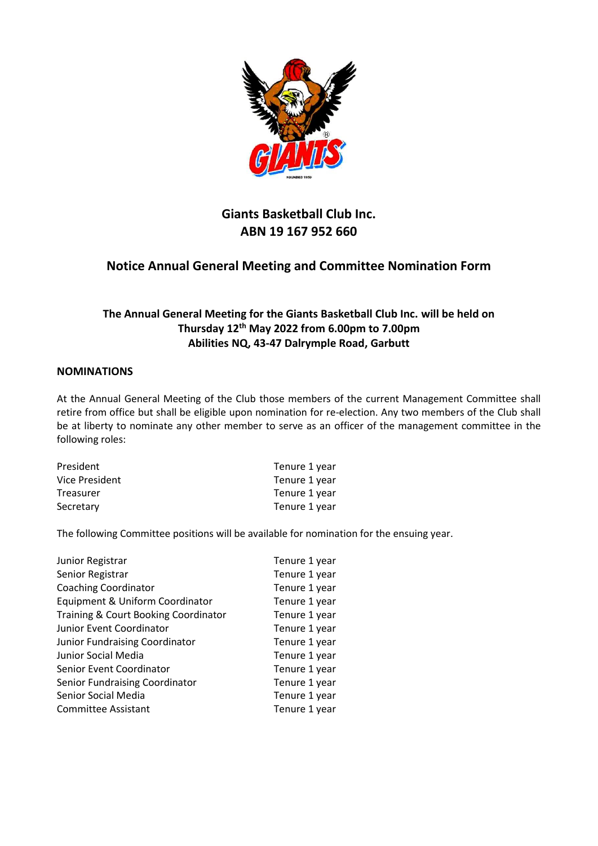

## **Notice Annual General Meeting and Committee Nomination Form**

### **The Annual General Meeting for the Giants Basketball Club Inc. will be held on Thursday 12th May 2022 from 6.00pm to 7.00pm Abilities NQ, 43-47 Dalrymple Road, Garbutt**

#### **NOMINATIONS**

At the Annual General Meeting of the Club those members of the current Management Committee shall retire from office but shall be eligible upon nomination for re-election. Any two members of the Club shall be at liberty to nominate any other member to serve as an officer of the management committee in the following roles:

| President      | Tenure 1 year |
|----------------|---------------|
| Vice President | Tenure 1 year |
| Treasurer      | Tenure 1 year |
| Secretary      | Tenure 1 year |

The following Committee positions will be available for nomination for the ensuing year.

| Tenure 1 year |
|---------------|
| Tenure 1 year |
| Tenure 1 year |
| Tenure 1 year |
| Tenure 1 year |
| Tenure 1 year |
| Tenure 1 year |
| Tenure 1 year |
| Tenure 1 year |
| Tenure 1 year |
| Tenure 1 year |
| Tenure 1 year |
|               |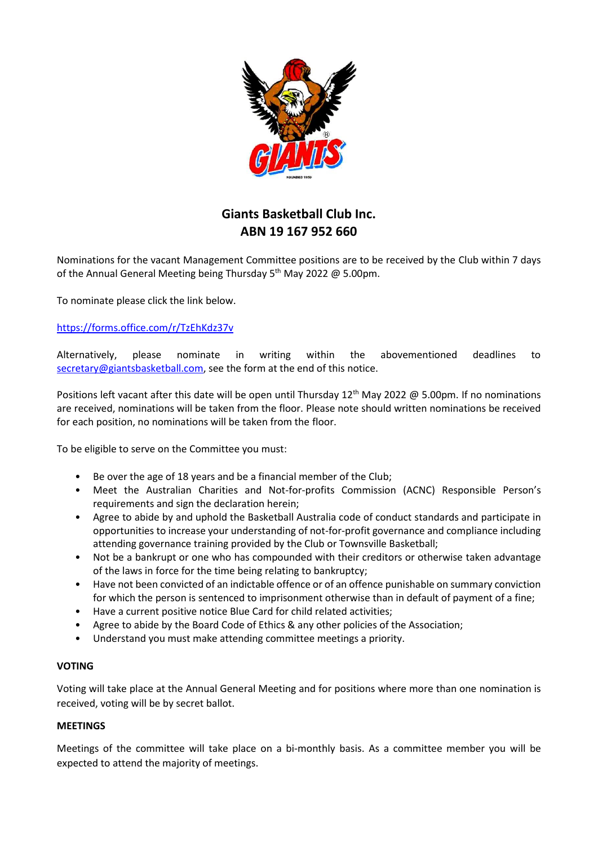

Nominations for the vacant Management Committee positions are to be received by the Club within 7 days of the Annual General Meeting being Thursday  $5<sup>th</sup>$  May 2022 @ 5.00pm.

To nominate please click the link below.

#### <https://forms.office.com/r/TzEhKdz37v>

Alternatively, please nominate in writing within the abovementioned deadlines to [secretary@giantsbasketball.com,](mailto:secretary@giantsbasketball.com) see the form at the end of this notice.

Positions left vacant after this date will be open until Thursday 12<sup>th</sup> May 2022 @ 5.00pm. If no nominations are received, nominations will be taken from the floor. Please note should written nominations be received for each position, no nominations will be taken from the floor.

To be eligible to serve on the Committee you must:

- Be over the age of 18 years and be a financial member of the Club;
- Meet the Australian Charities and Not-for-profits Commission (ACNC) Responsible Person's requirements and sign the declaration herein;
- Agree to abide by and uphold the Basketball Australia code of conduct standards and participate in opportunities to increase your understanding of not-for-profit governance and compliance including attending governance training provided by the Club or Townsville Basketball;
- Not be a bankrupt or one who has compounded with their creditors or otherwise taken advantage of the laws in force for the time being relating to bankruptcy;
- Have not been convicted of an indictable offence or of an offence punishable on summary conviction for which the person is sentenced to imprisonment otherwise than in default of payment of a fine;
- Have a current positive notice Blue Card for child related activities;
- Agree to abide by the Board Code of Ethics & any other policies of the Association;
- Understand you must make attending committee meetings a priority.

#### **VOTING**

Voting will take place at the Annual General Meeting and for positions where more than one nomination is received, voting will be by secret ballot.

#### **MEETINGS**

Meetings of the committee will take place on a bi-monthly basis. As a committee member you will be expected to attend the majority of meetings.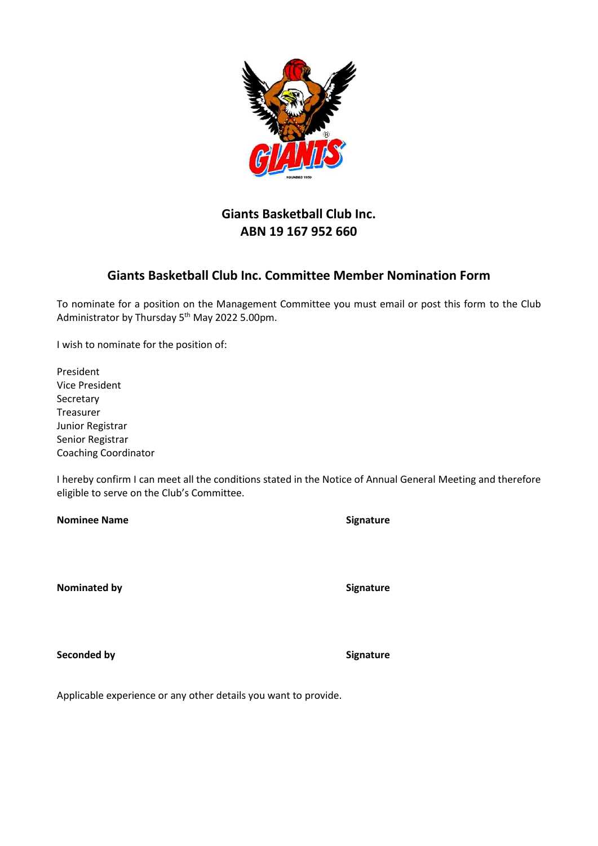

## **Giants Basketball Club Inc. Committee Member Nomination Form**

To nominate for a position on the Management Committee you must email or post this form to the Club Administrator by Thursday 5th May 2022 5.00pm.

I wish to nominate for the position of:

President Vice President **Secretary** Treasurer Junior Registrar Senior Registrar Coaching Coordinator

I hereby confirm I can meet all the conditions stated in the Notice of Annual General Meeting and therefore eligible to serve on the Club's Committee.

**Nominee Name Signature** 

**Nominated by Signature** 

**Seconded by Signature** 

Applicable experience or any other details you want to provide.